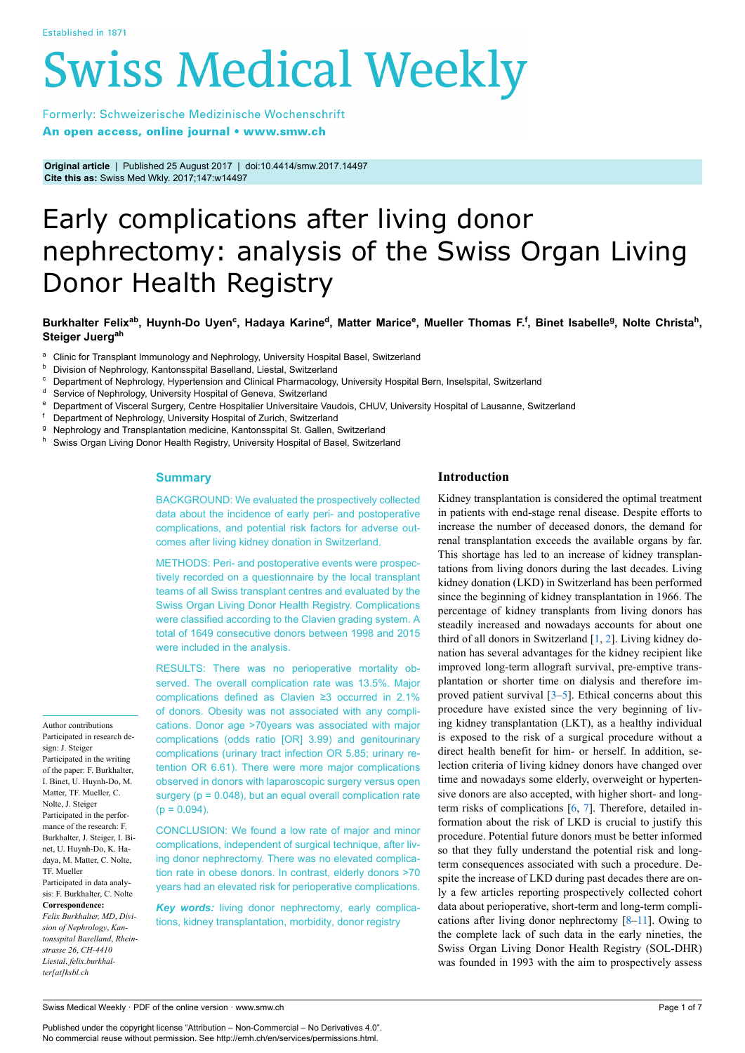# **Swiss Medical Weekly**

Formerly: Schweizerische Medizinische Wochenschrift An open access, online journal • www.smw.ch

**Original article** | Published 25 August 2017 | doi:10.4414/smw.2017.14497 **Cite this as:** Swiss Med Wkly. 2017;147:w14497

# Early complications after living donor nephrectomy: analysis of the Swiss Organ Living Donor Health Registry

Burkhalter Felix<sup>ab</sup>, Huynh-Do Uyen<sup>c</sup>, Hadaya Karine<sup>d</sup>, Matter Marice<sup>e</sup>, Mueller Thomas F.<sup>f</sup>, Binet Isabelle<sup>g</sup>, Nolte Christa<sup>h</sup>, **Steiger Juergah**

- <sup>a</sup> Clinic for Transplant Immunology and Nephrology, University Hospital Basel, Switzerland
- **b** Division of Nephrology, Kantonsspital Baselland, Liestal, Switzerland<br>
C Department of Nephrology, Hypertension and Clinical Pharmacology
- <sup>c</sup> Department of Nephrology, Hypertension and Clinical Pharmacology, University Hospital Bern, Inselspital, Switzerland
- <sup>d</sup> Service of Nephrology, University Hospital of Geneva, Switzerland
- <sup>e</sup> Department of Visceral Surgery, Centre Hospitalier Universitaire Vaudois, CHUV, University Hospital of Lausanne, Switzerland<br><sup>f</sup> Department of Nephrology University Hospital of Zurich, Switzerland
- Department of Nephrology, University Hospital of Zurich, Switzerland
- <sup>g</sup> Nephrology and Transplantation medicine, Kantonsspital St. Gallen, Switzerland
- Swiss Organ Living Donor Health Registry, University Hospital of Basel, Switzerland

# **Summary**

BACKGROUND: We evaluated the prospectively collected data about the incidence of early peri- and postoperative complications, and potential risk factors for adverse outcomes after living kidney donation in Switzerland.

METHODS: Peri- and postoperative events were prospectively recorded on a questionnaire by the local transplant teams of all Swiss transplant centres and evaluated by the Swiss Organ Living Donor Health Registry. Complications were classified according to the Clavien grading system. A total of 1649 consecutive donors between 1998 and 2015 were included in the analysis.

RESULTS: There was no perioperative mortality observed. The overall complication rate was 13.5%. Major complications defined as Clavien ≥3 occurred in 2.1% of donors. Obesity was not associated with any complications. Donor age >70years was associated with major complications (odds ratio [OR] 3.99) and genitourinary complications (urinary tract infection OR 5.85; urinary retention OR 6.61). There were more major complications observed in donors with laparoscopic surgery versus open surgery ( $p = 0.048$ ), but an equal overall complication rate  $(p = 0.094)$ .

CONCLUSION: We found a low rate of major and minor complications, independent of surgical technique, after living donor nephrectomy. There was no elevated complication rate in obese donors. In contrast, elderly donors >70 years had an elevated risk for perioperative complications.

*Key words:* living donor nephrectomy, early complications, kidney transplantation, morbidity, donor registry

# **Introduction**

Kidney transplantation is considered the optimal treatment in patients with end-stage renal disease. Despite efforts to increase the number of deceased donors, the demand for renal transplantation exceeds the available organs by far. This shortage has led to an increase of kidney transplantations from living donors during the last decades. Living kidney donation (LKD) in Switzerland has been performed since the beginning of kidney transplantation in 1966. The percentage of kidney transplants from living donors has steadily increased and nowadays accounts for about one third of all donors in Switzerland [[1](#page-4-0), [2\]](#page-4-1). Living kidney donation has several advantages for the kidney recipient like improved long-term allograft survival, pre-emptive transplantation or shorter time on dialysis and therefore improved patient survival [\[3](#page-4-2)[–5\]](#page-4-3). Ethical concerns about this procedure have existed since the very beginning of living kidney transplantation (LKT), as a healthy individual is exposed to the risk of a surgical procedure without a direct health benefit for him- or herself. In addition, selection criteria of living kidney donors have changed over time and nowadays some elderly, overweight or hypertensive donors are also accepted, with higher short- and longterm risks of complications [[6](#page-4-4), [7\]](#page-5-0). Therefore, detailed information about the risk of LKD is crucial to justify this procedure. Potential future donors must be better informed so that they fully understand the potential risk and longterm consequences associated with such a procedure. Despite the increase of LKD during past decades there are only a few articles reporting prospectively collected cohort data about perioperative, short-term and long-term complications after living donor nephrectomy [\[8](#page-5-1)[–11\]](#page-5-2). Owing to the complete lack of such data in the early nineties, the Swiss Organ Living Donor Health Registry (SOL-DHR) was founded in 1993 with the aim to prospectively assess

Participated in research design: J. Steiger Participated in the writing of the paper: F. Burkhalter, I. Binet, U. Huynh-Do, M. Matter, TF. Mueller, C. Nolte, J. Steiger Participated in the performance of the research: F. Burkhalter, J. Steiger, I. Binet, U. Huynh-Do, K. Hadaya, M. Matter, C. Nolte, TF. Mueller Participated in data analysis: F. Burkhalter, C. Nolte **Correspondence:** *Felix Burkhalter, MD*, *Division of Nephrology*, *Kantonsspital Baselland*, *Rheinstrasse 26*, *CH-4410 Liestal*, *felix.burkhal-*

*ter[at]ksbl.ch*

Author contributions

Swiss Medical Weekly · PDF of the online version · www.smw.ch

Published under the copyright license "Attribution – Non-Commercial – No Derivatives 4.0". No commercial reuse without permission. See http://emh.ch/en/services/permissions.html.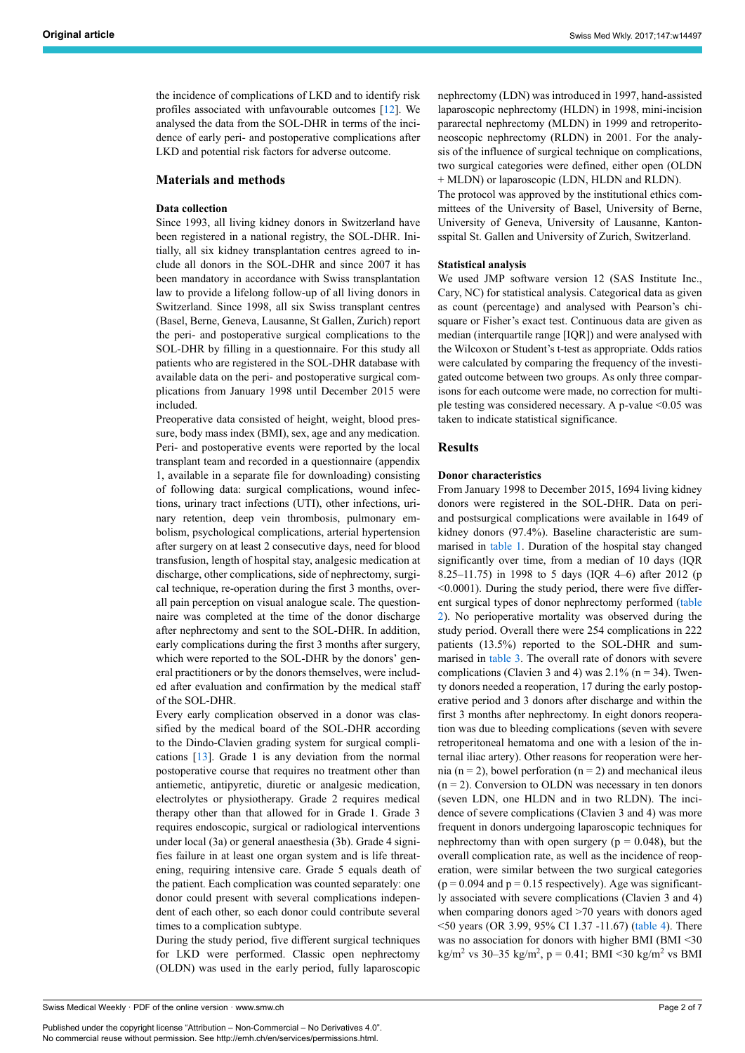the incidence of complications of LKD and to identify risk profiles associated with unfavourable outcomes [[12\]](#page-5-3). We analysed the data from the SOL-DHR in terms of the incidence of early peri- and postoperative complications after LKD and potential risk factors for adverse outcome.

# **Materials and methods**

### **Data collection**

Since 1993, all living kidney donors in Switzerland have been registered in a national registry, the SOL-DHR. Initially, all six kidney transplantation centres agreed to include all donors in the SOL-DHR and since 2007 it has been mandatory in accordance with Swiss transplantation law to provide a lifelong follow-up of all living donors in Switzerland. Since 1998, all six Swiss transplant centres (Basel, Berne, Geneva, Lausanne, St Gallen, Zurich) report the peri- and postoperative surgical complications to the SOL-DHR by filling in a questionnaire. For this study all patients who are registered in the SOL-DHR database with available data on the peri- and postoperative surgical complications from January 1998 until December 2015 were included.

Preoperative data consisted of height, weight, blood pressure, body mass index (BMI), sex, age and any medication. Peri- and postoperative events were reported by the local transplant team and recorded in a questionnaire (appendix 1, available in a separate file for downloading) consisting of following data: surgical complications, wound infections, urinary tract infections (UTI), other infections, urinary retention, deep vein thrombosis, pulmonary embolism, psychological complications, arterial hypertension after surgery on at least 2 consecutive days, need for blood transfusion, length of hospital stay, analgesic medication at discharge, other complications, side of nephrectomy, surgical technique, re-operation during the first 3 months, overall pain perception on visual analogue scale. The questionnaire was completed at the time of the donor discharge after nephrectomy and sent to the SOL-DHR. In addition, early complications during the first 3 months after surgery, which were reported to the SOL-DHR by the donors' general practitioners or by the donors themselves, were included after evaluation and confirmation by the medical staff of the SOL-DHR.

Every early complication observed in a donor was classified by the medical board of the SOL-DHR according to the Dindo-Clavien grading system for surgical complications [\[13](#page-5-4)]. Grade 1 is any deviation from the normal postoperative course that requires no treatment other than antiemetic, antipyretic, diuretic or analgesic medication, electrolytes or physiotherapy. Grade 2 requires medical therapy other than that allowed for in Grade 1. Grade 3 requires endoscopic, surgical or radiological interventions under local (3a) or general anaesthesia (3b). Grade 4 signifies failure in at least one organ system and is life threatening, requiring intensive care. Grade 5 equals death of the patient. Each complication was counted separately: one donor could present with several complications independent of each other, so each donor could contribute several times to a complication subtype.

During the study period, five different surgical techniques for LKD were performed. Classic open nephrectomy (OLDN) was used in the early period, fully laparoscopic nephrectomy (LDN) was introduced in 1997, hand-assisted laparoscopic nephrectomy (HLDN) in 1998, mini-incision pararectal nephrectomy (MLDN) in 1999 and retroperitoneoscopic nephrectomy (RLDN) in 2001. For the analysis of the influence of surgical technique on complications, two surgical categories were defined, either open (OLDN + MLDN) or laparoscopic (LDN, HLDN and RLDN).

The protocol was approved by the institutional ethics committees of the University of Basel, University of Berne, University of Geneva, University of Lausanne, Kantonsspital St. Gallen and University of Zurich, Switzerland.

#### **Statistical analysis**

We used JMP software version 12 (SAS Institute Inc., Cary, NC) for statistical analysis. Categorical data as given as count (percentage) and analysed with Pearson's chisquare or Fisher's exact test. Continuous data are given as median (interquartile range [IQR]) and were analysed with the Wilcoxon or Student's t-test as appropriate. Odds ratios were calculated by comparing the frequency of the investigated outcome between two groups. As only three comparisons for each outcome were made, no correction for multiple testing was considered necessary. A p-value <0.05 was taken to indicate statistical significance.

#### **Results**

#### **Donor characteristics**

From January 1998 to December 2015, 1694 living kidney donors were registered in the SOL-DHR. Data on periand postsurgical complications were available in 1649 of kidney donors (97.4%). Baseline characteristic are summarised in [table](#page-3-0) 1. Duration of the hospital stay changed significantly over time, from a median of 10 days (IQR 8.25–11.75) in 1998 to 5 days (IQR 4–6) after 2012 (p <0.0001). During the study period, there were five different surgical types of donor nephrectomy performed ([table](#page-3-1) [2\)](#page-3-1). No perioperative mortality was observed during the study period. Overall there were 254 complications in 222 patients (13.5%) reported to the SOL-DHR and summarised in [table](#page-2-0) 3. The overall rate of donors with severe complications (Clavien 3 and 4) was  $2.1\%$  (n = 34). Twenty donors needed a reoperation, 17 during the early postoperative period and 3 donors after discharge and within the first 3 months after nephrectomy. In eight donors reoperation was due to bleeding complications (seven with severe retroperitoneal hematoma and one with a lesion of the internal iliac artery). Other reasons for reoperation were hernia (n = 2), bowel perforation (n = 2) and mechanical ileus  $(n = 2)$ . Conversion to OLDN was necessary in ten donors (seven LDN, one HLDN and in two RLDN). The incidence of severe complications (Clavien 3 and 4) was more frequent in donors undergoing laparoscopic techniques for nephrectomy than with open surgery ( $p = 0.048$ ), but the overall complication rate, as well as the incidence of reoperation, were similar between the two surgical categories  $(p = 0.094$  and  $p = 0.15$  respectively). Age was significantly associated with severe complications (Clavien 3 and 4) when comparing donors aged >70 years with donors aged <50 years (OR 3.99, 95% CI 1.37 -11.67) ([table](#page-3-2) 4). There was no association for donors with higher BMI (BMI <30  $\text{kg/m}^2$  vs 30–35 kg/m<sup>2</sup>, p = 0.41; BMI <30 kg/m<sup>2</sup> vs BMI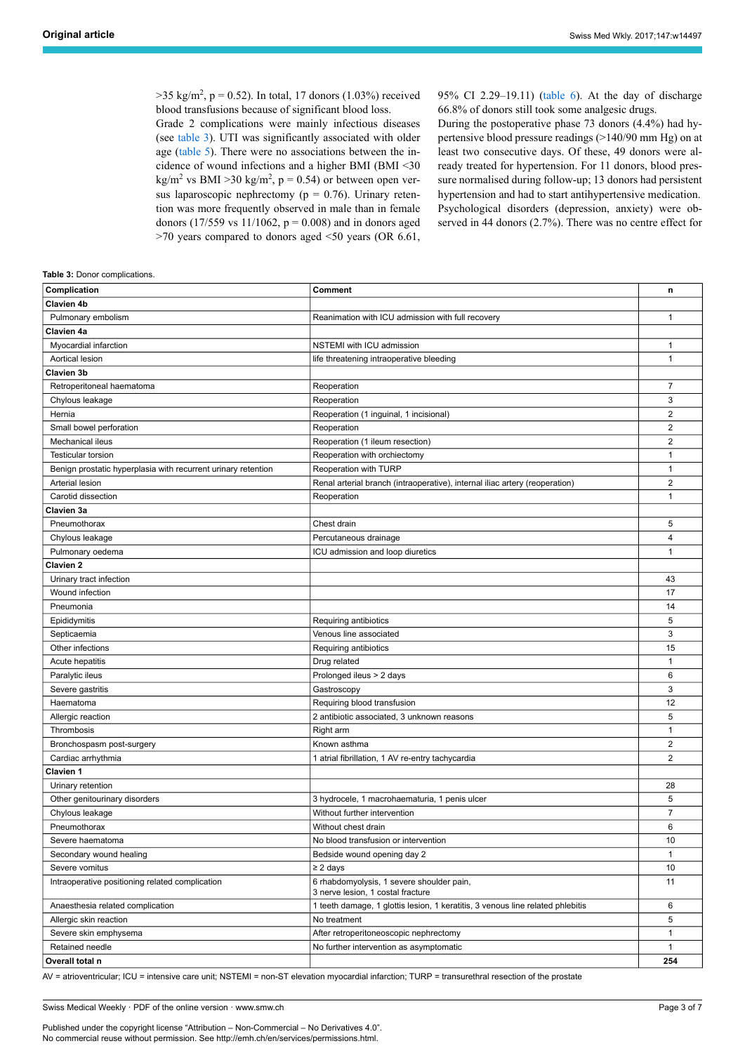$>35 \text{ kg/m}^2$ , p = 0.52). In total, 17 donors (1.03%) received blood transfusions because of significant blood loss.

Grade 2 complications were mainly infectious diseases (see [table](#page-2-0) 3). UTI was significantly associated with older age [\(table](#page-3-3) 5). There were no associations between the incidence of wound infections and a higher BMI (BMI <30  $\text{kg/m}^2$  vs BMI >30 kg/m<sup>2</sup>, p = 0.54) or between open versus laparoscopic nephrectomy ( $p = 0.76$ ). Urinary retention was more frequently observed in male than in female donors (17/559 vs 11/1062,  $p = 0.008$ ) and in donors aged >70 years compared to donors aged <50 years (OR 6.61, 95% CI 2.29–19.11) [\(table](#page-3-4) 6). At the day of discharge 66.8% of donors still took some analgesic drugs.

During the postoperative phase 73 donors (4.4%) had hypertensive blood pressure readings (>140/90 mm Hg) on at least two consecutive days. Of these, 49 donors were already treated for hypertension. For 11 donors, blood pressure normalised during follow-up; 13 donors had persistent hypertension and had to start antihypertensive medication. Psychological disorders (depression, anxiety) were observed in 44 donors (2.7%). There was no centre effect for

#### <span id="page-2-0"></span>**Table 3:** Donor complications.

| Complication                                                  | Comment                                                                        | n                       |
|---------------------------------------------------------------|--------------------------------------------------------------------------------|-------------------------|
| Clavien 4b                                                    |                                                                                |                         |
| Pulmonary embolism                                            | Reanimation with ICU admission with full recovery                              | $\mathbf{1}$            |
| Clavien 4a                                                    |                                                                                |                         |
| Myocardial infarction                                         | NSTEMI with ICU admission                                                      | 1                       |
| Aortical lesion                                               | life threatening intraoperative bleeding                                       | $\mathbf{1}$            |
| Clavien 3b                                                    |                                                                                |                         |
| Retroperitoneal haematoma                                     | Reoperation                                                                    | 7                       |
| Chylous leakage                                               | Reoperation                                                                    | 3                       |
| Hernia                                                        | Reoperation (1 inguinal, 1 incisional)                                         | $\boldsymbol{2}$        |
| Small bowel perforation                                       | Reoperation                                                                    | $\overline{2}$          |
| <b>Mechanical ileus</b>                                       | Reoperation (1 ileum resection)                                                | $\overline{2}$          |
| <b>Testicular torsion</b>                                     | Reoperation with orchiectomy                                                   | $\mathbf{1}$            |
| Benign prostatic hyperplasia with recurrent urinary retention | Reoperation with TURP                                                          | $\mathbf{1}$            |
| Arterial lesion                                               | Renal arterial branch (intraoperative), internal iliac artery (reoperation)    | $\overline{2}$          |
| Carotid dissection                                            | Reoperation                                                                    | $\mathbf{1}$            |
| Clavien 3a                                                    |                                                                                |                         |
| Pneumothorax                                                  | Chest drain                                                                    | 5                       |
| Chylous leakage                                               | Percutaneous drainage                                                          | $\overline{\mathbf{4}}$ |
| Pulmonary oedema                                              | ICU admission and loop diuretics                                               | $\mathbf{1}$            |
| <b>Clavien 2</b>                                              |                                                                                |                         |
| Urinary tract infection                                       |                                                                                | 43                      |
| Wound infection                                               |                                                                                | 17                      |
| Pneumonia                                                     |                                                                                | 14                      |
| Epididymitis                                                  | Requiring antibiotics                                                          | 5                       |
| Septicaemia                                                   | Venous line associated                                                         | 3                       |
| Other infections                                              | Requiring antibiotics                                                          | 15                      |
| Acute hepatitis                                               | Drug related                                                                   | $\mathbf{1}$            |
| Paralytic ileus                                               | Prolonged ileus > 2 days                                                       | 6                       |
| Severe gastritis                                              | Gastroscopy                                                                    | 3                       |
| Haematoma                                                     | Requiring blood transfusion                                                    | 12                      |
| Allergic reaction                                             | 2 antibiotic associated, 3 unknown reasons                                     | 5                       |
| Thrombosis                                                    | Right arm                                                                      | $\mathbf{1}$            |
| Bronchospasm post-surgery                                     | Known asthma                                                                   | $\overline{2}$          |
| Cardiac arrhythmia                                            | 1 atrial fibrillation, 1 AV re-entry tachycardia                               | $\overline{2}$          |
| Clavien 1                                                     |                                                                                |                         |
| Urinary retention                                             |                                                                                | 28                      |
| Other genitourinary disorders                                 | 3 hydrocele, 1 macrohaematuria, 1 penis ulcer                                  | 5                       |
| Chylous leakage                                               | Without further intervention                                                   | $\overline{7}$          |
| Pneumothorax                                                  | Without chest drain                                                            | 6                       |
| Severe haematoma                                              | No blood transfusion or intervention                                           | 10                      |
| Secondary wound healing                                       | Bedside wound opening day 2                                                    | $\mathbf{1}$            |
| Severe vomitus                                                | ≥ 2 days                                                                       | 10                      |
| Intraoperative positioning related complication               | 6 rhabdomyolysis, 1 severe shoulder pain,<br>3 nerve lesion, 1 costal fracture | 11                      |
| Anaesthesia related complication                              | 1 teeth damage, 1 glottis lesion, 1 keratitis, 3 venous line related phlebitis | 6                       |
| Allergic skin reaction                                        | No treatment                                                                   | 5                       |
| Severe skin emphysema                                         | After retroperitoneoscopic nephrectomy                                         | $\mathbf{1}$            |
| Retained needle                                               | No further intervention as asymptomatic                                        | $\mathbf{1}$            |
| Overall total n                                               |                                                                                | 254                     |

AV = atrioventricular; ICU = intensive care unit; NSTEMI = non-ST elevation myocardial infarction; TURP = transurethral resection of the prostate

Swiss Medical Weekly · PDF of the online version · www.smw.ch

Published under the copyright license "Attribution – Non-Commercial – No Derivatives 4.0". No commercial reuse without permission. See http://emh.ch/en/services/permissions.html.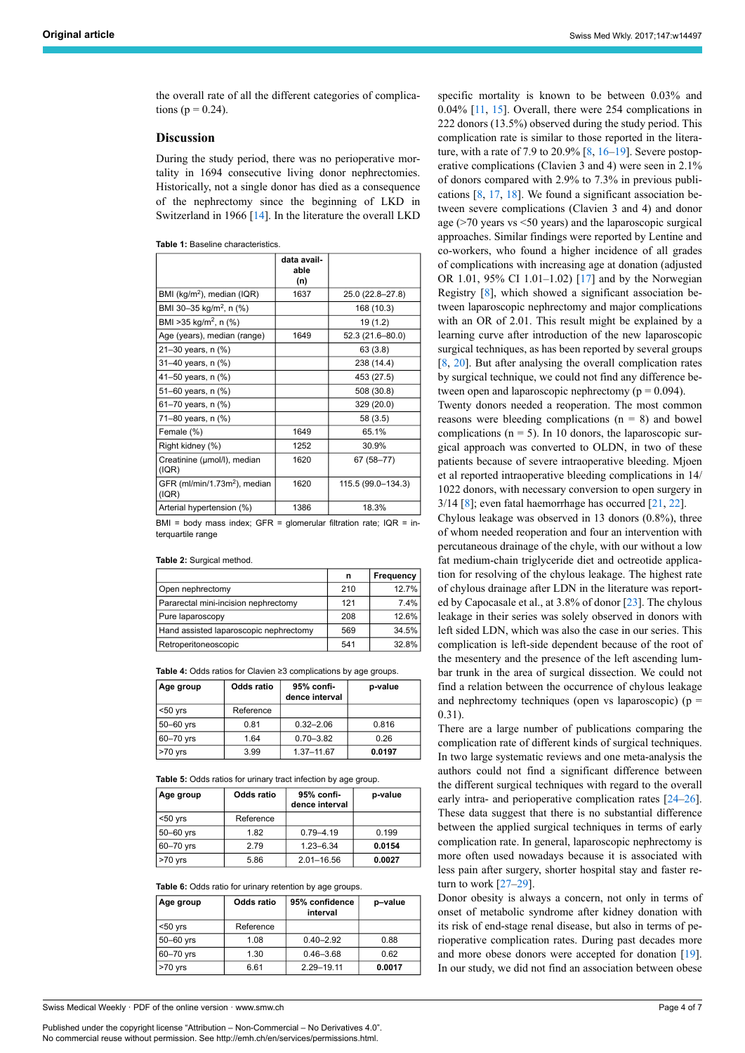the overall rate of all the different categories of complications ( $p = 0.24$ ).

### **Discussion**

During the study period, there was no perioperative mortality in 1694 consecutive living donor nephrectomies. Historically, not a single donor has died as a consequence of the nephrectomy since the beginning of LKD in Switzerland in 1966 [[14\]](#page-5-5). In the literature the overall LKD

<span id="page-3-0"></span>

|                                                  | data avail-<br>able<br>(n) |                    |
|--------------------------------------------------|----------------------------|--------------------|
| BMI (kg/m <sup>2</sup> ), median (IQR)           | 1637                       | 25.0 (22.8-27.8)   |
| BMI 30-35 kg/m <sup>2</sup> , n (%)              |                            | 168 (10.3)         |
| BMI > 35 kg/m <sup>2</sup> , n (%)               |                            | 19 (1.2)           |
| Age (years), median (range)                      | 1649                       | 52.3 (21.6-80.0)   |
| 21–30 years, n (%)                               |                            | 63(3.8)            |
| 31-40 years, n (%)                               |                            | 238 (14.4)         |
| 41–50 years, n (%)                               |                            | 453 (27.5)         |
| 51-60 years, n (%)                               |                            | 508 (30.8)         |
| 61-70 years, n (%)                               |                            | 329 (20.0)         |
| 71–80 years, n (%)                               |                            | 58 (3.5)           |
| Female (%)                                       | 1649                       | 65.1%              |
| Right kidney (%)                                 | 1252                       | 30.9%              |
| Creatinine (µmol/l), median<br>(IR)              | 1620                       | 67 (58-77)         |
| GFR (ml/min/1.73m <sup>2</sup> ), median<br>(IR) | 1620                       | 115.5 (99.0-134.3) |
| Arterial hypertension (%)                        | 1386                       | 18.3%              |

BMI = body mass index; GFR = glomerular filtration rate;  $IQR = in$ terquartile range

<span id="page-3-1"></span>**Table 2:** Surgical method.

|                                        | n   | Frequency |
|----------------------------------------|-----|-----------|
| Open nephrectomy                       | 210 | 12.7%     |
| Pararectal mini-incision nephrectomy   | 121 | 7.4%      |
| Pure laparoscopy                       | 208 | 12.6%     |
| Hand assisted laparoscopic nephrectomy | 569 | 34.5%     |
| Retroperitoneoscopic                   | 541 | 32.8%     |

<span id="page-3-2"></span>**Table 4:** Odds ratios for Clavien ≥3 complications by age groups.

| Age group   | Odds ratio | 95% confi-<br>dence interval | p-value |
|-------------|------------|------------------------------|---------|
| $50$ yrs    | Reference  |                              |         |
| $50-60$ yrs | 0.81       | $0.32 - 2.06$                | 0.816   |
| 60-70 yrs   | 1.64       | $0.70 - 3.82$                | 0.26    |
| $>70$ yrs   | 3.99       | 1.37-11.67                   | 0.0197  |

<span id="page-3-3"></span>**Table 5:** Odds ratios for urinary tract infection by age group.

| Age group     | Odds ratio | 95% confi-<br>dence interval | p-value |
|---------------|------------|------------------------------|---------|
| $50$ yrs      | Reference  |                              |         |
| $50-60$ yrs   | 1.82       | $0.79 - 4.19$                | 0.199   |
| $60 - 70$ yrs | 279        | $1.23 - 6.34$                | 0.0154  |
| $>70$ yrs     | 5.86       | $2.01 - 16.56$               | 0.0027  |

**Table 6:** Odds ratio for urinary retention by age groups.

| Age group     | Odds ratio | 95% confidence<br>interval | p-value |
|---------------|------------|----------------------------|---------|
| $50$ yrs      | Reference  |                            |         |
| 50-60 yrs     | 1.08       | $0.40 - 2.92$              | 0.88    |
| $60 - 70$ yrs | 1.30       | $0.46 - 3.68$              | 0.62    |
| $>70$ yrs     | 6.61       | 2.29-19.11                 | 0.0017  |

<span id="page-3-4"></span>Swiss Medical Weekly · PDF of the online version · www.smw.ch

Published under the copyright license "Attribution – Non-Commercial – No Derivatives 4.0". No commercial reuse without permission. See http://emh.ch/en/services/permissions.html.

specific mortality is known to be between 0.03% and 0.04% [\[11,](#page-5-2) [15](#page-5-6)]. Overall, there were 254 complications in 222 donors (13.5%) observed during the study period. This complication rate is similar to those reported in the literature, with a rate of 7.9 to 20.9%  $[8, 16-19]$  $[8, 16-19]$  $[8, 16-19]$  $[8, 16-19]$  $[8, 16-19]$ . Severe postoperative complications (Clavien 3 and 4) were seen in 2.1% of donors compared with 2.9% to 7.3% in previous publications [\[8,](#page-5-1) [17,](#page-5-9) [18\]](#page-5-10). We found a significant association between severe complications (Clavien 3 and 4) and donor age (>70 years vs <50 years) and the laparoscopic surgical approaches. Similar findings were reported by Lentine and co-workers, who found a higher incidence of all grades of complications with increasing age at donation (adjusted OR 1.01, 95% CI 1.01–1.02) [[17\]](#page-5-9) and by the Norwegian Registry [\[8\]](#page-5-1), which showed a significant association between laparoscopic nephrectomy and major complications with an OR of 2.01. This result might be explained by a learning curve after introduction of the new laparoscopic surgical techniques, as has been reported by several groups [\[8,](#page-5-1) [20\]](#page-5-11). But after analysing the overall complication rates by surgical technique, we could not find any difference between open and laparoscopic nephrectomy ( $p = 0.094$ ).

Twenty donors needed a reoperation. The most common reasons were bleeding complications  $(n = 8)$  and bowel complications ( $n = 5$ ). In 10 donors, the laparoscopic surgical approach was converted to OLDN, in two of these patients because of severe intraoperative bleeding. Mjoen et al reported intraoperative bleeding complications in 14/ 1022 donors, with necessary conversion to open surgery in  $3/14$  [\[8\]](#page-5-1); even fatal haemorrhage has occurred [\[21](#page-5-12), [22\]](#page-5-13).

Chylous leakage was observed in 13 donors (0.8%), three of whom needed reoperation and four an intervention with percutaneous drainage of the chyle, with our without a low fat medium-chain triglyceride diet and octreotide application for resolving of the chylous leakage. The highest rate of chylous drainage after LDN in the literature was reported by Capocasale et al., at 3.8% of donor [[23\]](#page-5-14). The chylous leakage in their series was solely observed in donors with left sided LDN, which was also the case in our series. This complication is left-side dependent because of the root of the mesentery and the presence of the left ascending lumbar trunk in the area of surgical dissection. We could not find a relation between the occurrence of chylous leakage and nephrectomy techniques (open vs laparoscopic) ( $p =$ 0.31).

There are a large number of publications comparing the complication rate of different kinds of surgical techniques. In two large systematic reviews and one meta-analysis the authors could not find a significant difference between the different surgical techniques with regard to the overall early intra- and perioperative complication rates [[24–](#page-5-15)[26](#page-5-3)]. These data suggest that there is no substantial difference between the applied surgical techniques in terms of early complication rate. In general, laparoscopic nephrectomy is more often used nowadays because it is associated with less pain after surgery, shorter hospital stay and faster return to work [[27](#page-5-16)[–29](#page-5-17)].

Donor obesity is always a concern, not only in terms of onset of metabolic syndrome after kidney donation with its risk of end-stage renal disease, but also in terms of perioperative complication rates. During past decades more and more obese donors were accepted for donation [\[19](#page-5-8)]. In our study, we did not find an association between obese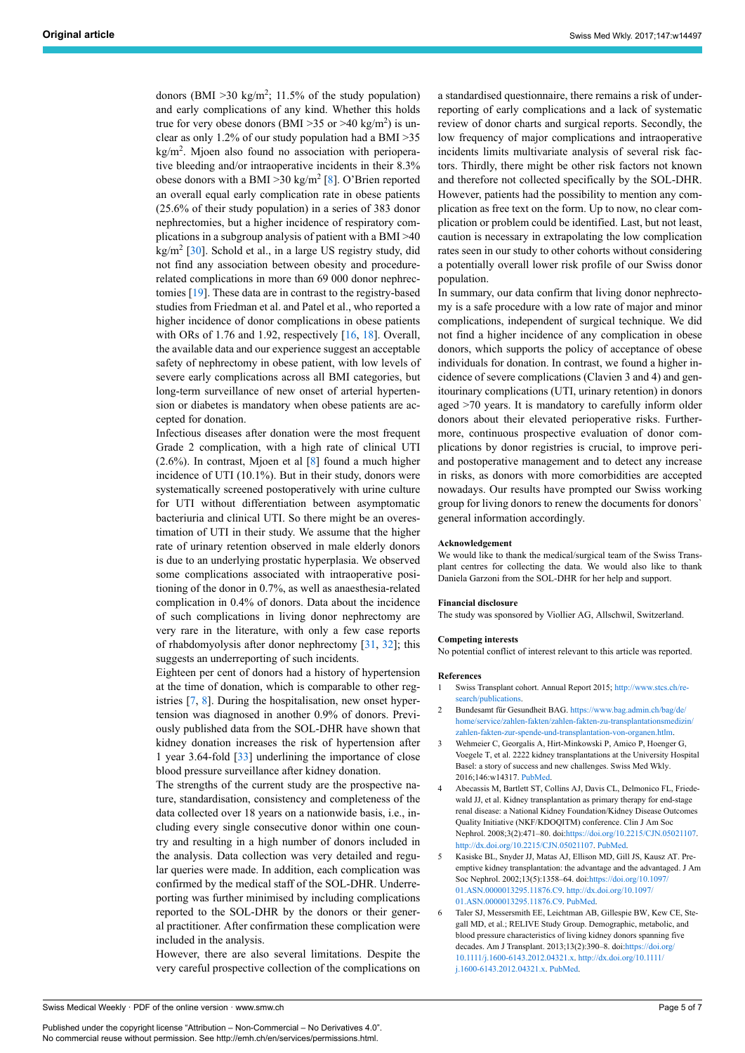donors (BMI  $>$  30 kg/m<sup>2</sup>; 11.5% of the study population) and early complications of any kind. Whether this holds true for very obese donors (BMI > 35 or > 40 kg/m<sup>2</sup>) is unclear as only 1.2% of our study population had a BMI >35 kg/m<sup>2</sup>. Mjoen also found no association with perioperative bleeding and/or intraoperative incidents in their 8.3% obese donors with a BMI > 30 kg/m<sup>2</sup> [[8](#page-5-1)]. O'Brien reported an overall equal early complication rate in obese patients (25.6% of their study population) in a series of 383 donor nephrectomies, but a higher incidence of respiratory complications in a subgroup analysis of patient with a BMI >40 kg/m<sup>2</sup> [\[30](#page-5-18)]. Schold et al., in a large US registry study, did not find any association between obesity and procedurerelated complications in more than 69 000 donor nephrectomies [[19\]](#page-5-8). These data are in contrast to the registry-based studies from Friedman et al. and Patel et al., who reported a higher incidence of donor complications in obese patients with ORs of 1.76 and 1.92, respectively [[16,](#page-5-7) [18\]](#page-5-10). Overall, the available data and our experience suggest an acceptable safety of nephrectomy in obese patient, with low levels of severe early complications across all BMI categories, but long-term surveillance of new onset of arterial hypertension or diabetes is mandatory when obese patients are accepted for donation.

Infectious diseases after donation were the most frequent Grade 2 complication, with a high rate of clinical UTI  $(2.6\%)$ . In contrast, Mjoen et al  $[8]$  found a much higher incidence of UTI (10.1%). But in their study, donors were systematically screened postoperatively with urine culture for UTI without differentiation between asymptomatic bacteriuria and clinical UTI. So there might be an overestimation of UTI in their study. We assume that the higher rate of urinary retention observed in male elderly donors is due to an underlying prostatic hyperplasia. We observed some complications associated with intraoperative positioning of the donor in 0.7%, as well as anaesthesia-related complication in 0.4% of donors. Data about the incidence of such complications in living donor nephrectomy are very rare in the literature, with only a few case reports of rhabdomyolysis after donor nephrectomy [\[31](#page-5-19), [32\]](#page-5-20); this suggests an underreporting of such incidents.

<span id="page-4-1"></span><span id="page-4-0"></span>Eighteen per cent of donors had a history of hypertension at the time of donation, which is comparable to other registries [[7](#page-5-0), [8\]](#page-5-1). During the hospitalisation, new onset hypertension was diagnosed in another 0.9% of donors. Previously published data from the SOL-DHR have shown that kidney donation increases the risk of hypertension after 1 year 3.64-fold [[33\]](#page-5-8) underlining the importance of close blood pressure surveillance after kidney donation.

<span id="page-4-2"></span>The strengths of the current study are the prospective nature, standardisation, consistency and completeness of the data collected over 18 years on a nationwide basis, i.e., including every single consecutive donor within one country and resulting in a high number of donors included in the analysis. Data collection was very detailed and regular queries were made. In addition, each complication was confirmed by the medical staff of the SOL-DHR. Underreporting was further minimised by including complications reported to the SOL-DHR by the donors or their general practitioner. After confirmation these complication were included in the analysis.

However, there are also several limitations. Despite the very careful prospective collection of the complications on a standardised questionnaire, there remains a risk of underreporting of early complications and a lack of systematic review of donor charts and surgical reports. Secondly, the low frequency of major complications and intraoperative incidents limits multivariate analysis of several risk factors. Thirdly, there might be other risk factors not known and therefore not collected specifically by the SOL-DHR. However, patients had the possibility to mention any complication as free text on the form. Up to now, no clear complication or problem could be identified. Last, but not least, caution is necessary in extrapolating the low complication rates seen in our study to other cohorts without considering a potentially overall lower risk profile of our Swiss donor population.

In summary, our data confirm that living donor nephrectomy is a safe procedure with a low rate of major and minor complications, independent of surgical technique. We did not find a higher incidence of any complication in obese donors, which supports the policy of acceptance of obese individuals for donation. In contrast, we found a higher incidence of severe complications (Clavien 3 and 4) and genitourinary complications (UTI, urinary retention) in donors aged >70 years. It is mandatory to carefully inform older donors about their elevated perioperative risks. Furthermore, continuous prospective evaluation of donor complications by donor registries is crucial, to improve periand postoperative management and to detect any increase in risks, as donors with more comorbidities are accepted nowadays. Our results have prompted our Swiss working group for living donors to renew the documents for donors` general information accordingly.

#### **Acknowledgement**

We would like to thank the medical/surgical team of the Swiss Transplant centres for collecting the data. We would also like to thank Daniela Garzoni from the SOL-DHR for her help and support.

#### **Financial disclosure**

The study was sponsored by Viollier AG, Allschwil, Switzerland.

#### **Competing interests**

No potential conflict of interest relevant to this article was reported.

#### **References**

- Swiss Transplant cohort. Annual Report 2015; [http://www.stcs.ch/re](http://www.stcs.ch/research/publications)[search/publications](http://www.stcs.ch/research/publications)
- 2 Bundesamt für Gesundheit BAG. [https://www.bag.admin.ch/bag/de/](https://www.bag.admin.ch/bag/de/home/service/zahlen-fakten/zahlen-fakten-zu-transplantationsmedizin/zahlen-fakten-zur-spende-und-transplantation-von-organen.htlm) [home/service/zahlen-fakten/zahlen-fakten-zu-transplantationsmedizin/](https://www.bag.admin.ch/bag/de/home/service/zahlen-fakten/zahlen-fakten-zu-transplantationsmedizin/zahlen-fakten-zur-spende-und-transplantation-von-organen.htlm) [zahlen-fakten-zur-spende-und-transplantation-von-organen.htlm.](https://www.bag.admin.ch/bag/de/home/service/zahlen-fakten/zahlen-fakten-zu-transplantationsmedizin/zahlen-fakten-zur-spende-und-transplantation-von-organen.htlm)
- 3 Wehmeier C, Georgalis A, Hirt-Minkowski P, Amico P, Hoenger G, Voegele T, et al. 2222 kidney transplantations at the University Hospital Basel: a story of success and new challenges. Swiss Med Wkly. 2016;146:w14317. [PubMed.](http://www.ncbi.nlm.nih.gov/entrez/query.fcgi?cmd=Retrieve&db=PubMed&list_uids=27322483&dopt=Abstract)
- 4 Abecassis M, Bartlett ST, Collins AJ, Davis CL, Delmonico FL, Friedewald JJ, et al. Kidney transplantation as primary therapy for end-stage renal disease: a National Kidney Foundation/Kidney Disease Outcomes Quality Initiative (NKF/KDOQITM) conference. Clin J Am Soc Nephrol. 2008;3(2):471–80. doi[:https://doi.org/10.2215/CJN.05021107](https://doi.org/10.2215/CJN.05021107). <http://dx.doi.org/10.2215/CJN.05021107>. [PubMed](http://www.ncbi.nlm.nih.gov/entrez/query.fcgi?cmd=Retrieve&db=PubMed&list_uids=18256371&dopt=Abstract).
- 5 Kasiske BL, Snyder JJ, Matas AJ, Ellison MD, Gill JS, Kausz AT. Preemptive kidney transplantation: the advantage and the advantaged. J Am Soc Nephrol. 2002;13(5):1358–64. doi:[https://doi.org/10.1097/](https://doi.org/10.1097/01.ASN.0000013295.11876.C9) [01.ASN.0000013295.11876.C9.](https://doi.org/10.1097/01.ASN.0000013295.11876.C9) [http://dx.doi.org/10.1097/](http://dx.doi.org/10.1097/01.ASN.0000013295.11876.C9) [01.ASN.0000013295.11876.C9.](http://dx.doi.org/10.1097/01.ASN.0000013295.11876.C9) [PubMed.](http://www.ncbi.nlm.nih.gov/entrez/query.fcgi?cmd=Retrieve&db=PubMed&list_uids=11961024&dopt=Abstract)
- 6 Taler SJ, Messersmith EE, Leichtman AB, Gillespie BW, Kew CE, Stegall MD, et al.; RELIVE Study Group. Demographic, metabolic, and blood pressure characteristics of living kidney donors spanning five decades. Am J Transplant. 2013;13(2):390-8. doi:https://doi.org [10.1111/j.1600-6143.2012.04321.x.](https://doi.org/10.1111/j.1600-6143.2012.04321.x) [http://dx.doi.org/10.1111/](http://dx.doi.org/10.1111/j.1600-6143.2012.04321.x) [j.1600-6143.2012.04321.x.](http://dx.doi.org/10.1111/j.1600-6143.2012.04321.x) [PubMed](http://www.ncbi.nlm.nih.gov/entrez/query.fcgi?cmd=Retrieve&db=PubMed&list_uids=23137211&dopt=Abstract).

<span id="page-4-4"></span><span id="page-4-3"></span>Swiss Medical Weekly · PDF of the online version · www.smw.ch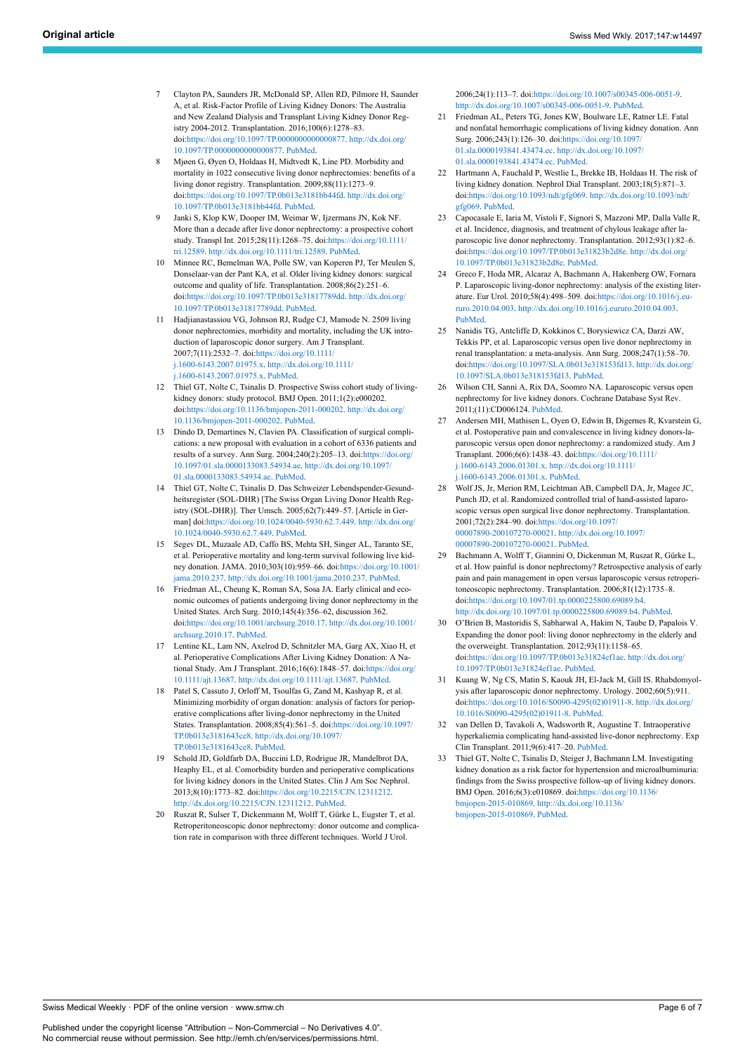- <span id="page-5-12"></span><span id="page-5-0"></span>7 Clayton PA, Saunders JR, McDonald SP, Allen RD, Pilmore H, Saunder A, et al. Risk-Factor Profile of Living Kidney Donors: The Australia and New Zealand Dialysis and Transplant Living Kidney Donor Registry 2004-2012. Transplantation. 2016;100(6):1278–83. doi[:https://doi.org/10.1097/TP.0000000000000877.](https://doi.org/10.1097/TP.0000000000000877) [http://dx.doi.org/](http://dx.doi.org/10.1097/TP.0000000000000877) [10.1097/TP.0000000000000877.](http://dx.doi.org/10.1097/TP.0000000000000877) [PubMed.](http://www.ncbi.nlm.nih.gov/entrez/query.fcgi?cmd=Retrieve&db=PubMed&list_uids=27123877&dopt=Abstract)
- <span id="page-5-13"></span><span id="page-5-1"></span>8 Mjøen G, Øyen O, Holdaas H, Midtvedt K, Line PD. Morbidity and mortality in 1022 consecutive living donor nephrectomies: benefits of a living donor registry. Transplantation. 2009;88(11):1273–9. doi[:https://doi.org/10.1097/TP.0b013e3181bb44fd](https://doi.org/10.1097/TP.0b013e3181bb44fd). [http://dx.doi.org/](http://dx.doi.org/10.1097/TP.0b013e3181bb44fd) [10.1097/TP.0b013e3181bb44fd](http://dx.doi.org/10.1097/TP.0b013e3181bb44fd). [PubMed](http://www.ncbi.nlm.nih.gov/entrez/query.fcgi?cmd=Retrieve&db=PubMed&list_uids=19996926&dopt=Abstract).
- <span id="page-5-14"></span>9 Janki S, Klop KW, Dooper IM, Weimar W, Ijzermans JN, Kok NF. More than a decade after live donor nephrectomy: a prospective cohort study. Transpl Int. 2015;28(11):1268–75. doi[:https://doi.org/10.1111/](https://doi.org/10.1111/tri.12589) [tri.12589](https://doi.org/10.1111/tri.12589). <http://dx.doi.org/10.1111/tri.12589>. [PubMed](http://www.ncbi.nlm.nih.gov/entrez/query.fcgi?cmd=Retrieve&db=PubMed&list_uids=25865340&dopt=Abstract).
- <span id="page-5-15"></span>10 Minnee RC, Bemelman WA, Polle SW, van Koperen PJ, Ter Meulen S, Donselaar-van der Pant KA, et al. Older living kidney donors: surgical outcome and quality of life. Transplantation. 2008;86(2):251–6. doi[:https://doi.org/10.1097/TP.0b013e31817789dd](https://doi.org/10.1097/TP.0b013e31817789dd). [http://dx.doi.org/](http://dx.doi.org/10.1097/TP.0b013e31817789dd) [10.1097/TP.0b013e31817789dd](http://dx.doi.org/10.1097/TP.0b013e31817789dd). [PubMed](http://www.ncbi.nlm.nih.gov/entrez/query.fcgi?cmd=Retrieve&db=PubMed&list_uids=18645487&dopt=Abstract).
- <span id="page-5-2"></span>11 Hadjianastassiou VG, Johnson RJ, Rudge CJ, Mamode N. 2509 living donor nephrectomies, morbidity and mortality, including the UK introduction of laparoscopic donor surgery. Am J Transplant. 2007;7(11):2532–7. doi:[https://doi.org/10.1111/](https://doi.org/10.1111/j.1600-6143.2007.01975.x) [j.1600-6143.2007.01975.x.](https://doi.org/10.1111/j.1600-6143.2007.01975.x) [http://dx.doi.org/10.1111/](http://dx.doi.org/10.1111/j.1600-6143.2007.01975.x) [j.1600-6143.2007.01975.x.](http://dx.doi.org/10.1111/j.1600-6143.2007.01975.x) [PubMed.](http://www.ncbi.nlm.nih.gov/entrez/query.fcgi?cmd=Retrieve&db=PubMed&list_uids=17868058&dopt=Abstract)
- <span id="page-5-3"></span>12 Thiel GT, Nolte C, Tsinalis D. Prospective Swiss cohort study of livingkidney donors: study protocol. BMJ Open. 2011;1(2):e000202. doi[:https://doi.org/10.1136/bmjopen-2011-000202](https://doi.org/10.1136/bmjopen-2011-000202). [http://dx.doi.org/](http://dx.doi.org/10.1136/bmjopen-2011-000202) [10.1136/bmjopen-2011-000202](http://dx.doi.org/10.1136/bmjopen-2011-000202). [PubMed](http://www.ncbi.nlm.nih.gov/entrez/query.fcgi?cmd=Retrieve&db=PubMed&list_uids=22080536&dopt=Abstract).
- <span id="page-5-16"></span><span id="page-5-4"></span>13 Dindo D, Demartines N, Clavien PA. Classification of surgical complications: a new proposal with evaluation in a cohort of 6336 patients and results of a survey. Ann Surg. 2004;240(2):205–13. doi[:https://doi.org/](https://doi.org/10.1097/01.sla.0000133083.54934.ae) [10.1097/01.sla.0000133083.54934.ae](https://doi.org/10.1097/01.sla.0000133083.54934.ae). [http://dx.doi.org/10.1097/](http://dx.doi.org/10.1097/01.sla.0000133083.54934.ae) [01.sla.0000133083.54934.ae.](http://dx.doi.org/10.1097/01.sla.0000133083.54934.ae) [PubMed.](http://www.ncbi.nlm.nih.gov/entrez/query.fcgi?cmd=Retrieve&db=PubMed&list_uids=15273542&dopt=Abstract)
- <span id="page-5-5"></span>14 Thiel GT, Nolte C, Tsinalis D. Das Schweizer Lebendspender-Gesundheitsregister (SOL-DHR) [The Swiss Organ Living Donor Health Registry (SOL-DHR)]. Ther Umsch. 2005;62(7):449–57. [Article in German] doi:<https://doi.org/10.1024/0040-5930.62.7.449>. [http://dx.doi.org/](http://dx.doi.org/10.1024/0040-5930.62.7.449) [10.1024/0040-5930.62.7.449](http://dx.doi.org/10.1024/0040-5930.62.7.449). [PubMed.](http://www.ncbi.nlm.nih.gov/entrez/query.fcgi?cmd=Retrieve&db=PubMed&list_uids=16075950&dopt=Abstract)
- <span id="page-5-17"></span><span id="page-5-6"></span>15 Segev DL, Muzaale AD, Caffo BS, Mehta SH, Singer AL, Taranto SE, et al. Perioperative mortality and long-term survival following live kidney donation. JAMA. 2010;303(10):959–66. doi:[https://doi.org/10.1001/](https://doi.org/10.1001/jama.2010.237) [jama.2010.237](https://doi.org/10.1001/jama.2010.237). [http://dx.doi.org/10.1001/jama.2010.237.](http://dx.doi.org/10.1001/jama.2010.237) [PubMed](http://www.ncbi.nlm.nih.gov/entrez/query.fcgi?cmd=Retrieve&db=PubMed&list_uids=20215610&dopt=Abstract).
- <span id="page-5-7"></span>16 Friedman AL, Cheung K, Roman SA, Sosa JA. Early clinical and economic outcomes of patients undergoing living donor nephrectomy in the United States. Arch Surg. 2010;145(4):356–62, discussion 362. doi[:https://doi.org/10.1001/archsurg.2010.17.](https://doi.org/10.1001/archsurg.2010.17) [http://dx.doi.org/10.1001/](http://dx.doi.org/10.1001/archsurg.2010.17) [archsurg.2010.17.](http://dx.doi.org/10.1001/archsurg.2010.17) [PubMed.](http://www.ncbi.nlm.nih.gov/entrez/query.fcgi?cmd=Retrieve&db=PubMed&list_uids=20404286&dopt=Abstract)
- <span id="page-5-18"></span><span id="page-5-9"></span>17 Lentine KL, Lam NN, Axelrod D, Schnitzler MA, Garg AX, Xiao H, et al. Perioperative Complications After Living Kidney Donation: A National Study. Am J Transplant. 2016;16(6):1848–57. doi:[https://doi.org/](https://doi.org/10.1111/ajt.13687) [10.1111/ajt.13687](https://doi.org/10.1111/ajt.13687). [http://dx.doi.org/10.1111/ajt.13687.](http://dx.doi.org/10.1111/ajt.13687) [PubMed.](http://www.ncbi.nlm.nih.gov/entrez/query.fcgi?cmd=Retrieve&db=PubMed&list_uids=26700551&dopt=Abstract)
- <span id="page-5-19"></span><span id="page-5-10"></span>18 Patel S, Cassuto J, Orloff M, Tsoulfas G, Zand M, Kashyap R, et al. Minimizing morbidity of organ donation: analysis of factors for perioperative complications after living-donor nephrectomy in the United States. Transplantation. 2008;85(4):561–5. doi:[https://doi.org/10.1097/](https://doi.org/10.1097/TP.0b013e3181643ce8) [TP.0b013e3181643ce8.](https://doi.org/10.1097/TP.0b013e3181643ce8) [http://dx.doi.org/10.1097/](http://dx.doi.org/10.1097/TP.0b013e3181643ce8) [TP.0b013e3181643ce8.](http://dx.doi.org/10.1097/TP.0b013e3181643ce8) [PubMed.](http://www.ncbi.nlm.nih.gov/entrez/query.fcgi?cmd=Retrieve&db=PubMed&list_uids=18347535&dopt=Abstract)
- <span id="page-5-20"></span><span id="page-5-8"></span>19 Schold JD, Goldfarb DA, Buccini LD, Rodrigue JR, Mandelbrot DA, Heaphy EL, et al. Comorbidity burden and perioperative complications for living kidney donors in the United States. Clin J Am Soc Nephrol. 2013;8(10):1773–82. doi[:https://doi.org/10.2215/CJN.12311212](https://doi.org/10.2215/CJN.12311212). [http://dx.doi.org/10.2215/CJN.12311212.](http://dx.doi.org/10.2215/CJN.12311212) [PubMed](http://www.ncbi.nlm.nih.gov/entrez/query.fcgi?cmd=Retrieve&db=PubMed&list_uids=24071651&dopt=Abstract).
- <span id="page-5-11"></span>20 Ruszat R, Sulser T, Dickenmann M, Wolff T, Gürke L, Eugster T, et al. Retroperitoneoscopic donor nephrectomy: donor outcome and complication rate in comparison with three different techniques. World J Urol.

2006;24(1):113–7. doi:<https://doi.org/10.1007/s00345-006-0051-9>. [http://dx.doi.org/10.1007/s00345-006-0051-9.](http://dx.doi.org/10.1007/s00345-006-0051-9) [PubMed](http://www.ncbi.nlm.nih.gov/entrez/query.fcgi?cmd=Retrieve&db=PubMed&list_uids=16435146&dopt=Abstract).

- 21 Friedman AL, Peters TG, Jones KW, Boulware LE, Ratner LE. Fatal and nonfatal hemorrhagic complications of living kidney donation. Ann Surg. 2006;243(1):126–30. doi:[https://doi.org/10.1097/](https://doi.org/10.1097/01.sla.0000193841.43474.ec) [01.sla.0000193841.43474.ec.](https://doi.org/10.1097/01.sla.0000193841.43474.ec) [http://dx.doi.org/10.1097/](http://dx.doi.org/10.1097/01.sla.0000193841.43474.ec) [01.sla.0000193841.43474.ec.](http://dx.doi.org/10.1097/01.sla.0000193841.43474.ec) [PubMed](http://www.ncbi.nlm.nih.gov/entrez/query.fcgi?cmd=Retrieve&db=PubMed&list_uids=16371747&dopt=Abstract).
- 22 Hartmann A, Fauchald P, Westlie L, Brekke IB, Holdaas H. The risk of living kidney donation. Nephrol Dial Transplant. 2003;18(5):871–3. doi:<https://doi.org/10.1093/ndt/gfg069>. [http://dx.doi.org/10.1093/ndt/](http://dx.doi.org/10.1093/ndt/gfg069) [gfg069](http://dx.doi.org/10.1093/ndt/gfg069). [PubMed.](http://www.ncbi.nlm.nih.gov/entrez/query.fcgi?cmd=Retrieve&db=PubMed&list_uids=12686656&dopt=Abstract)
- 23 Capocasale E, Iaria M, Vistoli F, Signori S, Mazzoni MP, Dalla Valle R, et al. Incidence, diagnosis, and treatment of chylous leakage after laparoscopic live donor nephrectomy. Transplantation. 2012;93(1):82–6. doi:<https://doi.org/10.1097/TP.0b013e31823b2d8e>. [http://dx.doi.org/](http://dx.doi.org/10.1097/TP.0b013e31823b2d8e) [10.1097/TP.0b013e31823b2d8e](http://dx.doi.org/10.1097/TP.0b013e31823b2d8e). [PubMed](http://www.ncbi.nlm.nih.gov/entrez/query.fcgi?cmd=Retrieve&db=PubMed&list_uids=22143459&dopt=Abstract).
- 24 Greco F, Hoda MR, Alcaraz A, Bachmann A, Hakenberg OW, Fornara P. Laparoscopic living-donor nephrectomy: analysis of the existing literature. Eur Urol. 2010;58(4):498–509. doi:[https://doi.org/10.1016/j.eu](https://doi.org/10.1016/j.eururo.2010.04.003)[ruro.2010.04.003.](https://doi.org/10.1016/j.eururo.2010.04.003) <http://dx.doi.org/10.1016/j.eururo.2010.04.003>. [PubMed](http://www.ncbi.nlm.nih.gov/entrez/query.fcgi?cmd=Retrieve&db=PubMed&list_uids=20417024&dopt=Abstract).
- 25 Nanidis TG, Antcliffe D, Kokkinos C, Borysiewicz CA, Darzi AW, Tekkis PP, et al. Laparoscopic versus open live donor nephrectomy in renal transplantation: a meta-analysis. Ann Surg. 2008;247(1):58–70. doi:<https://doi.org/10.1097/SLA.0b013e318153fd13>. [http://dx.doi.org/](http://dx.doi.org/10.1097/SLA.0b013e318153fd13) [10.1097/SLA.0b013e318153fd13.](http://dx.doi.org/10.1097/SLA.0b013e318153fd13) [PubMed](http://www.ncbi.nlm.nih.gov/entrez/query.fcgi?cmd=Retrieve&db=PubMed&list_uids=18156924&dopt=Abstract).
- 26 Wilson CH, Sanni A, Rix DA, Soomro NA. Laparoscopic versus open nephrectomy for live kidney donors. Cochrane Database Syst Rev. 2011;(11):CD006124. [PubMed](http://www.ncbi.nlm.nih.gov/entrez/query.fcgi?cmd=Retrieve&db=PubMed&list_uids=22071829&dopt=Abstract).
- 27 Andersen MH, Mathisen L, Oyen O, Edwin B, Digernes R, Kvarstein G, et al. Postoperative pain and convalescence in living kidney donors-laparoscopic versus open donor nephrectomy: a randomized study. Am J Transplant. 2006;6(6):1438–43. doi[:https://doi.org/10.1111/](https://doi.org/10.1111/j.1600-6143.2006.01301.x) [j.1600-6143.2006.01301.x.](https://doi.org/10.1111/j.1600-6143.2006.01301.x) [http://dx.doi.org/10.1111/](http://dx.doi.org/10.1111/j.1600-6143.2006.01301.x) [j.1600-6143.2006.01301.x.](http://dx.doi.org/10.1111/j.1600-6143.2006.01301.x) [PubMed](http://www.ncbi.nlm.nih.gov/entrez/query.fcgi?cmd=Retrieve&db=PubMed&list_uids=16686768&dopt=Abstract).
- 28 Wolf JS, Jr, Merion RM, Leichtman AB, Campbell DA, Jr, Magee JC, Punch JD, et al. Randomized controlled trial of hand-assisted laparoscopic versus open surgical live donor nephrectomy. Transplantation. 2001;72(2):284–90. doi[:https://doi.org/10.1097/](https://doi.org/10.1097/00007890-200107270-00021) [00007890-200107270-00021.](https://doi.org/10.1097/00007890-200107270-00021) [http://dx.doi.org/10.1097/](http://dx.doi.org/10.1097/00007890-200107270-00021) [00007890-200107270-00021.](http://dx.doi.org/10.1097/00007890-200107270-00021) [PubMed](http://www.ncbi.nlm.nih.gov/entrez/query.fcgi?cmd=Retrieve&db=PubMed&list_uids=11477354&dopt=Abstract).
- 29 Bachmann A, Wolff T, Giannini O, Dickenman M, Ruszat R, Gürke L, et al. How painful is donor nephrectomy? Retrospective analysis of early pain and pain management in open versus laparoscopic versus retroperitoneoscopic nephrectomy. Transplantation. 2006;81(12):1735–8. doi:[https://doi.org/10.1097/01.tp.0000225800.69089.b4.](https://doi.org/10.1097/01.tp.0000225800.69089.b4) [http://dx.doi.org/10.1097/01.tp.0000225800.69089.b4.](http://dx.doi.org/10.1097/01.tp.0000225800.69089.b4) [PubMed](http://www.ncbi.nlm.nih.gov/entrez/query.fcgi?cmd=Retrieve&db=PubMed&list_uids=16794541&dopt=Abstract).
- 30 O'Brien B, Mastoridis S, Sabharwal A, Hakim N, Taube D, Papalois V. Expanding the donor pool: living donor nephrectomy in the elderly and the overweight. Transplantation. 2012;93(11):1158–65. doi:[https://doi.org/10.1097/TP.0b013e31824ef1ae.](https://doi.org/10.1097/TP.0b013e31824ef1ae)[http://dx.doi.org/](http://dx.doi.org/10.1097/TP.0b013e31824ef1ae) [10.1097/TP.0b013e31824ef1ae](http://dx.doi.org/10.1097/TP.0b013e31824ef1ae). [PubMed](http://www.ncbi.nlm.nih.gov/entrez/query.fcgi?cmd=Retrieve&db=PubMed&list_uids=22495495&dopt=Abstract).
- 31 Kuang W, Ng CS, Matin S, Kaouk JH, El-Jack M, Gill IS. Rhabdomyolysis after laparoscopic donor nephrectomy. Urology. 2002;60(5):911. doi:[https://doi.org/10.1016/S0090-4295\(02\)01911-8.](https://doi.org/10.1016/S0090-4295(02)01911-8) [http://dx.doi.org/](http://dx.doi.org/10.1016/S0090-4295(02)01911-8) [10.1016/S0090-4295\(02\)01911-8.](http://dx.doi.org/10.1016/S0090-4295(02)01911-8) [PubMed.](http://www.ncbi.nlm.nih.gov/entrez/query.fcgi?cmd=Retrieve&db=PubMed&list_uids=12429334&dopt=Abstract)
- 32 van Dellen D, Tavakoli A, Wadsworth R, Augustine T. Intraoperative hyperkaliemia complicating hand-assisted live-donor nephrectomy. Exp Clin Transplant. 2011;9(6):417–20. [PubMed](http://www.ncbi.nlm.nih.gov/entrez/query.fcgi?cmd=Retrieve&db=PubMed&list_uids=22142051&dopt=Abstract).
- 33 Thiel GT, Nolte C, Tsinalis D, Steiger J, Bachmann LM. Investigating kidney donation as a risk factor for hypertension and microalbuminuria: findings from the Swiss prospective follow-up of living kidney donors. BMJ Open. 2016;6(3):e010869. doi:[https://doi.org/10.1136/](https://doi.org/10.1136/bmjopen-2015-010869) [bmjopen-2015-010869](https://doi.org/10.1136/bmjopen-2015-010869). [http://dx.doi.org/10.1136/](http://dx.doi.org/10.1136/bmjopen-2015-010869) [bmjopen-2015-010869](http://dx.doi.org/10.1136/bmjopen-2015-010869). [PubMed](http://www.ncbi.nlm.nih.gov/entrez/query.fcgi?cmd=Retrieve&db=PubMed&list_uids=27006347&dopt=Abstract).

Swiss Medical Weekly · PDF of the online version · www.smw.ch

Published under the copyright license "Attribution – Non-Commercial – No Derivatives 4.0". No commercial reuse without permission. See http://emh.ch/en/services/permissions.html.